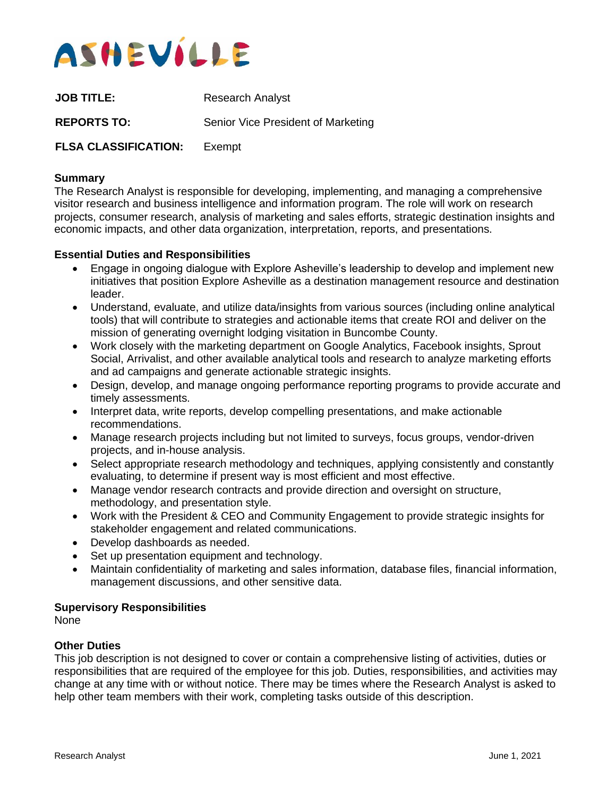

| <b>JOB TITLE:</b>           | <b>Research Analyst</b>            |
|-----------------------------|------------------------------------|
| <b>REPORTS TO:</b>          | Senior Vice President of Marketing |
| <b>FLSA CLASSIFICATION:</b> | Exempt                             |

### **Summary**

The Research Analyst is responsible for developing, implementing, and managing a comprehensive visitor research and business intelligence and information program. The role will work on research projects, consumer research, analysis of marketing and sales efforts, strategic destination insights and economic impacts, and other data organization, interpretation, reports, and presentations.

#### **Essential Duties and Responsibilities**

- Engage in ongoing dialogue with Explore Asheville's leadership to develop and implement new initiatives that position Explore Asheville as a destination management resource and destination leader.
- Understand, evaluate, and utilize data/insights from various sources (including online analytical tools) that will contribute to strategies and actionable items that create ROI and deliver on the mission of generating overnight lodging visitation in Buncombe County.
- Work closely with the marketing department on Google Analytics, Facebook insights, Sprout Social, Arrivalist, and other available analytical tools and research to analyze marketing efforts and ad campaigns and generate actionable strategic insights.
- Design, develop, and manage ongoing performance reporting programs to provide accurate and timely assessments.
- Interpret data, write reports, develop compelling presentations, and make actionable recommendations.
- Manage research projects including but not limited to surveys, focus groups, vendor-driven projects, and in-house analysis.
- Select appropriate research methodology and techniques, applying consistently and constantly evaluating, to determine if present way is most efficient and most effective.
- Manage vendor research contracts and provide direction and oversight on structure, methodology, and presentation style.
- Work with the President & CEO and Community Engagement to provide strategic insights for stakeholder engagement and related communications.
- Develop dashboards as needed.
- Set up presentation equipment and technology.
- Maintain confidentiality of marketing and sales information, database files, financial information, management discussions, and other sensitive data.

# **Supervisory Responsibilities**

None

## **Other Duties**

This job description is not designed to cover or contain a comprehensive listing of activities, duties or responsibilities that are required of the employee for this job. Duties, responsibilities, and activities may change at any time with or without notice. There may be times where the Research Analyst is asked to help other team members with their work, completing tasks outside of this description.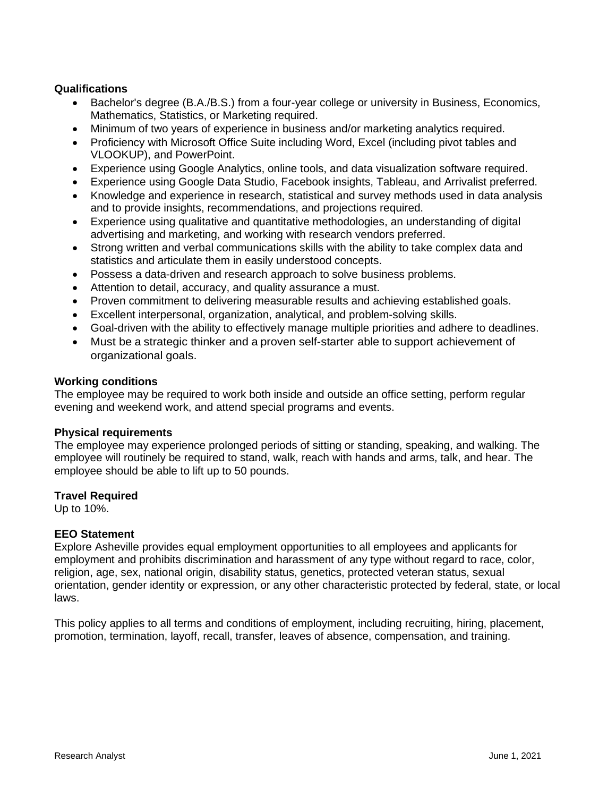# **Qualifications**

- Bachelor's degree (B.A./B.S.) from a four-year college or university in Business, Economics, Mathematics, Statistics, or Marketing required.
- Minimum of two years of experience in business and/or marketing analytics required.
- Proficiency with Microsoft Office Suite including Word, Excel (including pivot tables and VLOOKUP), and PowerPoint.
- Experience using Google Analytics, online tools, and data visualization software required.
- Experience using Google Data Studio, Facebook insights, Tableau, and Arrivalist preferred.
- Knowledge and experience in research, statistical and survey methods used in data analysis and to provide insights, recommendations, and projections required.
- Experience using qualitative and quantitative methodologies, an understanding of digital advertising and marketing, and working with research vendors preferred.
- Strong written and verbal communications skills with the ability to take complex data and statistics and articulate them in easily understood concepts.
- Possess a data-driven and research approach to solve business problems.
- Attention to detail, accuracy, and quality assurance a must.
- Proven commitment to delivering measurable results and achieving established goals.
- Excellent interpersonal, organization, analytical, and problem-solving skills.
- Goal-driven with the ability to effectively manage multiple priorities and adhere to deadlines.
- Must be a strategic thinker and a proven self-starter able to support achievement of organizational goals.

#### **Working conditions**

The employee may be required to work both inside and outside an office setting, perform regular evening and weekend work, and attend special programs and events.

## **Physical requirements**

The employee may experience prolonged periods of sitting or standing, speaking, and walking. The employee will routinely be required to stand, walk, reach with hands and arms, talk, and hear. The employee should be able to lift up to 50 pounds.

## **Travel Required**

Up to 10%.

## **EEO Statement**

Explore Asheville provides equal employment opportunities to all employees and applicants for employment and prohibits discrimination and harassment of any type without regard to race, color, religion, age, sex, national origin, disability status, genetics, protected veteran status, sexual orientation, gender identity or expression, or any other characteristic protected by federal, state, or local laws.

This policy applies to all terms and conditions of employment, including recruiting, hiring, placement, promotion, termination, layoff, recall, transfer, leaves of absence, compensation, and training.